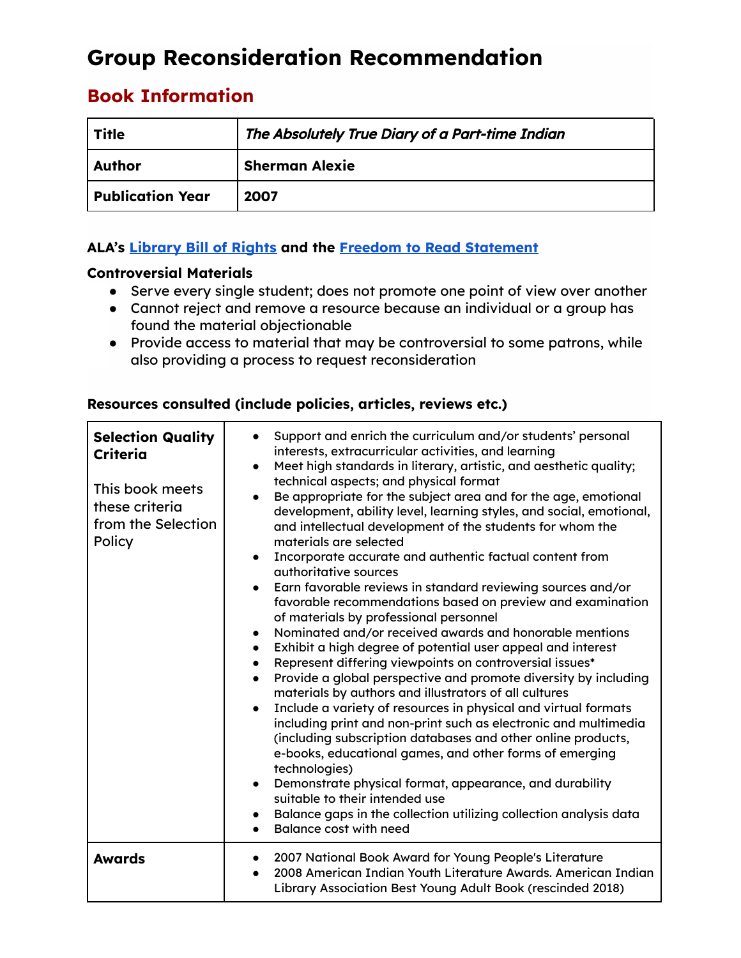# **Group Reconsideration Recommendation**

# **Book Information**

| <b>Title</b>            | The Absolutely True Diary of a Part-time Indian |
|-------------------------|-------------------------------------------------|
| <b>Author</b>           | <b>Sherman Alexie</b>                           |
| <b>Publication Year</b> | 2007                                            |

## **ALA's [Library](https://www.ala.org/advocacy/intfreedom/librarybill) Bill of Rights and the Freedom to Read [Statement](https://www.ala.org/advocacy/intfreedom/freedomreadstatement)**

### **Controversial Materials**

- Serve every single student; does not promote one point of view over another
- Cannot reject and remove a resource because an individual or a group has found the material objectionable
- Provide access to material that may be controversial to some patrons, while also providing a process to request reconsideration

### **Resources consulted (include policies, articles, reviews etc.)**

| <b>Selection Quality</b><br><b>Criteria</b><br>This book meets<br>these criteria<br>from the Selection<br>Policy | Support and enrich the curriculum and/or students' personal<br>interests, extracurricular activities, and learning<br>Meet high standards in literary, artistic, and aesthetic quality;<br>$\bullet$<br>technical aspects; and physical format<br>Be appropriate for the subject area and for the age, emotional<br>$\bullet$<br>development, ability level, learning styles, and social, emotional,<br>and intellectual development of the students for whom the<br>materials are selected<br>Incorporate accurate and authentic factual content from<br>$\bullet$<br>authoritative sources<br>Earn favorable reviews in standard reviewing sources and/or<br>$\bullet$<br>favorable recommendations based on preview and examination<br>of materials by professional personnel<br>Nominated and/or received awards and honorable mentions<br>$\bullet$<br>Exhibit a high degree of potential user appeal and interest<br>$\bullet$<br>Represent differing viewpoints on controversial issues*<br>$\bullet$<br>Provide a global perspective and promote diversity by including<br>$\bullet$<br>materials by authors and illustrators of all cultures<br>Include a variety of resources in physical and virtual formats<br>$\bullet$<br>including print and non-print such as electronic and multimedia<br>(including subscription databases and other online products,<br>e-books, educational games, and other forms of emerging<br>technologies)<br>Demonstrate physical format, appearance, and durability<br>suitable to their intended use<br>Balance gaps in the collection utilizing collection analysis data<br>Balance cost with need |
|------------------------------------------------------------------------------------------------------------------|-------------------------------------------------------------------------------------------------------------------------------------------------------------------------------------------------------------------------------------------------------------------------------------------------------------------------------------------------------------------------------------------------------------------------------------------------------------------------------------------------------------------------------------------------------------------------------------------------------------------------------------------------------------------------------------------------------------------------------------------------------------------------------------------------------------------------------------------------------------------------------------------------------------------------------------------------------------------------------------------------------------------------------------------------------------------------------------------------------------------------------------------------------------------------------------------------------------------------------------------------------------------------------------------------------------------------------------------------------------------------------------------------------------------------------------------------------------------------------------------------------------------------------------------------------------------------------------------------------------------------------------------------|
| <b>Awards</b>                                                                                                    | 2007 National Book Award for Young People's Literature<br>2008 American Indian Youth Literature Awards. American Indian<br>$\bullet$<br>Library Association Best Young Adult Book (rescinded 2018)                                                                                                                                                                                                                                                                                                                                                                                                                                                                                                                                                                                                                                                                                                                                                                                                                                                                                                                                                                                                                                                                                                                                                                                                                                                                                                                                                                                                                                              |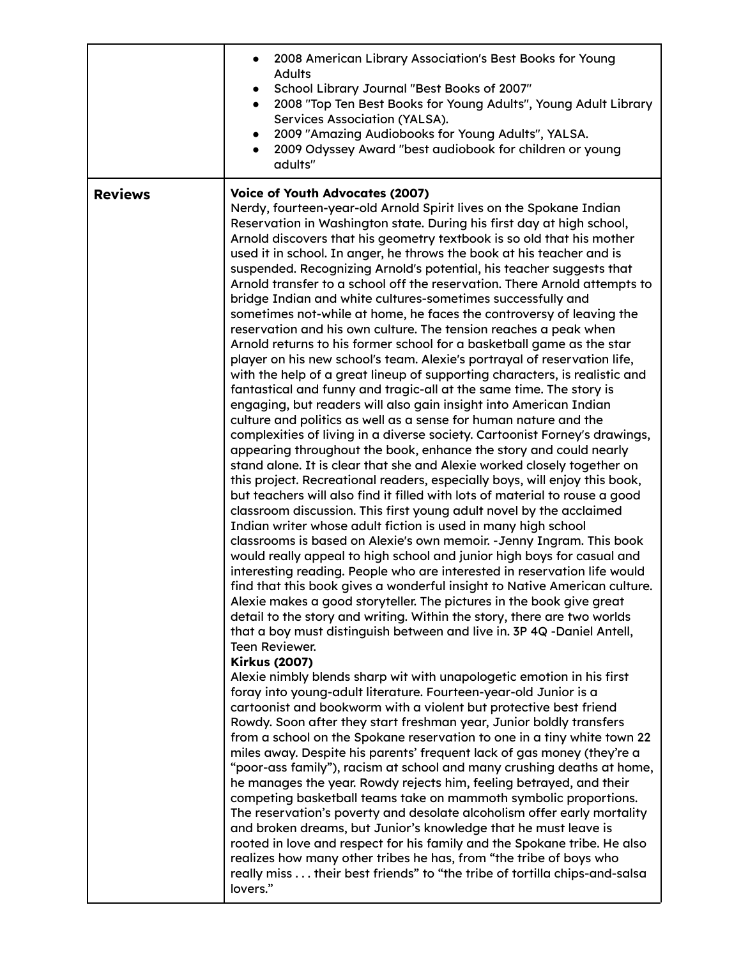|                | 2008 American Library Association's Best Books for Young<br><b>Adults</b><br>School Library Journal "Best Books of 2007"<br>2008 "Top Ten Best Books for Young Adults", Young Adult Library<br>Services Association (YALSA).<br>2009 "Amazing Audiobooks for Young Adults", YALSA.<br>2009 Odyssey Award "best audiobook for children or young<br>adults"                                                                                                                                                                                                                                                                                                                                                                                                                                                                                                                                                                                                                                                                                                                                                                                                                                                                                                                                                                                                                                                                                                                                                                                                                                                                                                                                                                                                                                                                                                                                                                                                                                                                                                                                                                                                                                                                                                                                                                                                                                                                                                                                                                                                                                                                                                                                                                                                                                                                                                                                                                                                                                                                                                                                                                                                                                                                                                                                                                                           |
|----------------|-----------------------------------------------------------------------------------------------------------------------------------------------------------------------------------------------------------------------------------------------------------------------------------------------------------------------------------------------------------------------------------------------------------------------------------------------------------------------------------------------------------------------------------------------------------------------------------------------------------------------------------------------------------------------------------------------------------------------------------------------------------------------------------------------------------------------------------------------------------------------------------------------------------------------------------------------------------------------------------------------------------------------------------------------------------------------------------------------------------------------------------------------------------------------------------------------------------------------------------------------------------------------------------------------------------------------------------------------------------------------------------------------------------------------------------------------------------------------------------------------------------------------------------------------------------------------------------------------------------------------------------------------------------------------------------------------------------------------------------------------------------------------------------------------------------------------------------------------------------------------------------------------------------------------------------------------------------------------------------------------------------------------------------------------------------------------------------------------------------------------------------------------------------------------------------------------------------------------------------------------------------------------------------------------------------------------------------------------------------------------------------------------------------------------------------------------------------------------------------------------------------------------------------------------------------------------------------------------------------------------------------------------------------------------------------------------------------------------------------------------------------------------------------------------------------------------------------------------------------------------------------------------------------------------------------------------------------------------------------------------------------------------------------------------------------------------------------------------------------------------------------------------------------------------------------------------------------------------------------------------------------------------------------------------------------------------------------------------------|
| <b>Reviews</b> | <b>Voice of Youth Advocates (2007)</b><br>Nerdy, fourteen-year-old Arnold Spirit lives on the Spokane Indian<br>Reservation in Washington state. During his first day at high school,<br>Arnold discovers that his geometry textbook is so old that his mother<br>used it in school. In anger, he throws the book at his teacher and is<br>suspended. Recognizing Arnold's potential, his teacher suggests that<br>Arnold transfer to a school off the reservation. There Arnold attempts to<br>bridge Indian and white cultures-sometimes successfully and<br>sometimes not-while at home, he faces the controversy of leaving the<br>reservation and his own culture. The tension reaches a peak when<br>Arnold returns to his former school for a basketball game as the star<br>player on his new school's team. Alexie's portrayal of reservation life,<br>with the help of a great lineup of supporting characters, is realistic and<br>fantastical and funny and tragic-all at the same time. The story is<br>engaging, but readers will also gain insight into American Indian<br>culture and politics as well as a sense for human nature and the<br>complexities of living in a diverse society. Cartoonist Forney's drawings,<br>appearing throughout the book, enhance the story and could nearly<br>stand alone. It is clear that she and Alexie worked closely together on<br>this project. Recreational readers, especially boys, will enjoy this book,<br>but teachers will also find it filled with lots of material to rouse a good<br>classroom discussion. This first young adult novel by the acclaimed<br>Indian writer whose adult fiction is used in many high school<br>classrooms is based on Alexie's own memoir. - Jenny Ingram. This book<br>would really appeal to high school and junior high boys for casual and<br>interesting reading. People who are interested in reservation life would<br>find that this book gives a wonderful insight to Native American culture.<br>Alexie makes a good storyteller. The pictures in the book give great<br>detail to the story and writing. Within the story, there are two worlds<br>that a boy must distinguish between and live in. 3P 4Q -Daniel Antell,<br><b>Teen Reviewer.</b><br><b>Kirkus (2007)</b><br>Alexie nimbly blends sharp wit with unapologetic emotion in his first<br>foray into young-adult literature. Fourteen-year-old Junior is a<br>cartoonist and bookworm with a violent but protective best friend<br>Rowdy. Soon after they start freshman year, Junior boldly transfers<br>from a school on the Spokane reservation to one in a tiny white town 22<br>miles away. Despite his parents' frequent lack of gas money (they're a<br>"poor-ass family"), racism at school and many crushing deaths at home,<br>he manages the year. Rowdy rejects him, feeling betrayed, and their<br>competing basketball teams take on mammoth symbolic proportions.<br>The reservation's poverty and desolate alcoholism offer early mortality<br>and broken dreams, but Junior's knowledge that he must leave is<br>rooted in love and respect for his family and the Spokane tribe. He also<br>realizes how many other tribes he has, from "the tribe of boys who<br>really miss their best friends" to "the tribe of tortilla chips-and-salsa<br>lovers." |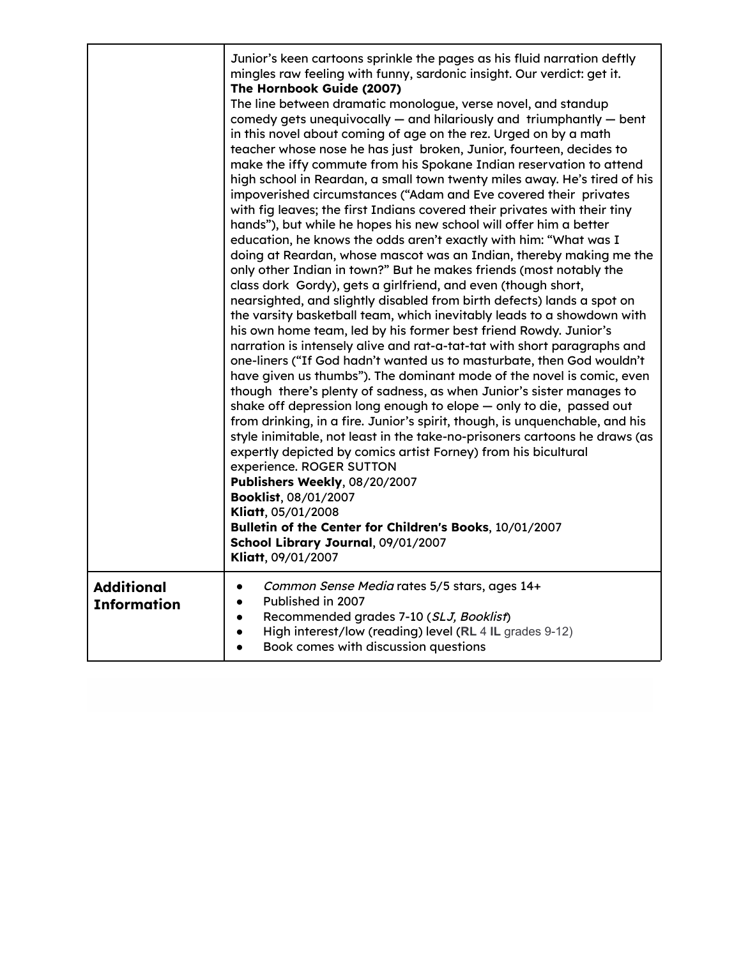|                                         | Junior's keen cartoons sprinkle the pages as his fluid narration deftly<br>mingles raw feeling with funny, sardonic insight. Our verdict: get it.<br>The Hornbook Guide (2007)<br>The line between dramatic monologue, verse novel, and standup<br>comedy gets unequivocally - and hilariously and triumphantly - bent<br>in this novel about coming of age on the rez. Urged on by a math<br>teacher whose nose he has just broken, Junior, fourteen, decides to<br>make the iffy commute from his Spokane Indian reservation to attend<br>high school in Reardan, a small town twenty miles away. He's tired of his<br>impoverished circumstances ("Adam and Eve covered their privates<br>with fig leaves; the first Indians covered their privates with their tiny<br>hands"), but while he hopes his new school will offer him a better<br>education, he knows the odds aren't exactly with him: "What was I<br>doing at Reardan, whose mascot was an Indian, thereby making me the<br>only other Indian in town?" But he makes friends (most notably the<br>class dork Gordy), gets a girlfriend, and even (though short,<br>nearsighted, and slightly disabled from birth defects) lands a spot on<br>the varsity basketball team, which inevitably leads to a showdown with<br>his own home team, led by his former best friend Rowdy. Junior's<br>narration is intensely alive and rat-a-tat-tat with short paragraphs and<br>one-liners ("If God hadn't wanted us to masturbate, then God wouldn't<br>have given us thumbs"). The dominant mode of the novel is comic, even<br>though there's plenty of sadness, as when Junior's sister manages to<br>shake off depression long enough to elope - only to die, passed out<br>from drinking, in a fire. Junior's spirit, though, is unquenchable, and his<br>style inimitable, not least in the take-no-prisoners cartoons he draws (as<br>expertly depicted by comics artist Forney) from his bicultural<br>experience. ROGER SUTTON<br>Publishers Weekly, 08/20/2007<br>Booklist, 08/01/2007<br>Kliatt, 05/01/2008<br>Bulletin of the Center for Children's Books, 10/01/2007<br>School Library Journal, 09/01/2007<br>Kliatt, 09/01/2007 |
|-----------------------------------------|-------------------------------------------------------------------------------------------------------------------------------------------------------------------------------------------------------------------------------------------------------------------------------------------------------------------------------------------------------------------------------------------------------------------------------------------------------------------------------------------------------------------------------------------------------------------------------------------------------------------------------------------------------------------------------------------------------------------------------------------------------------------------------------------------------------------------------------------------------------------------------------------------------------------------------------------------------------------------------------------------------------------------------------------------------------------------------------------------------------------------------------------------------------------------------------------------------------------------------------------------------------------------------------------------------------------------------------------------------------------------------------------------------------------------------------------------------------------------------------------------------------------------------------------------------------------------------------------------------------------------------------------------------------------------------------------------------------------------------------------------------------------------------------------------------------------------------------------------------------------------------------------------------------------------------------------------------------------------------------------------------------------------------------------------------------------------------------------------------------------------------------------------------------------------------------------------------|
| <b>Additional</b><br><b>Information</b> | Common Sense Media rates 5/5 stars, ages 14+<br>$\bullet$<br>Published in 2007<br>$\bullet$<br>Recommended grades 7-10 (SLJ, Booklist)<br>$\bullet$<br>High interest/low (reading) level (RL 4 IL grades 9-12)<br>$\bullet$<br>Book comes with discussion questions<br>$\bullet$                                                                                                                                                                                                                                                                                                                                                                                                                                                                                                                                                                                                                                                                                                                                                                                                                                                                                                                                                                                                                                                                                                                                                                                                                                                                                                                                                                                                                                                                                                                                                                                                                                                                                                                                                                                                                                                                                                                      |